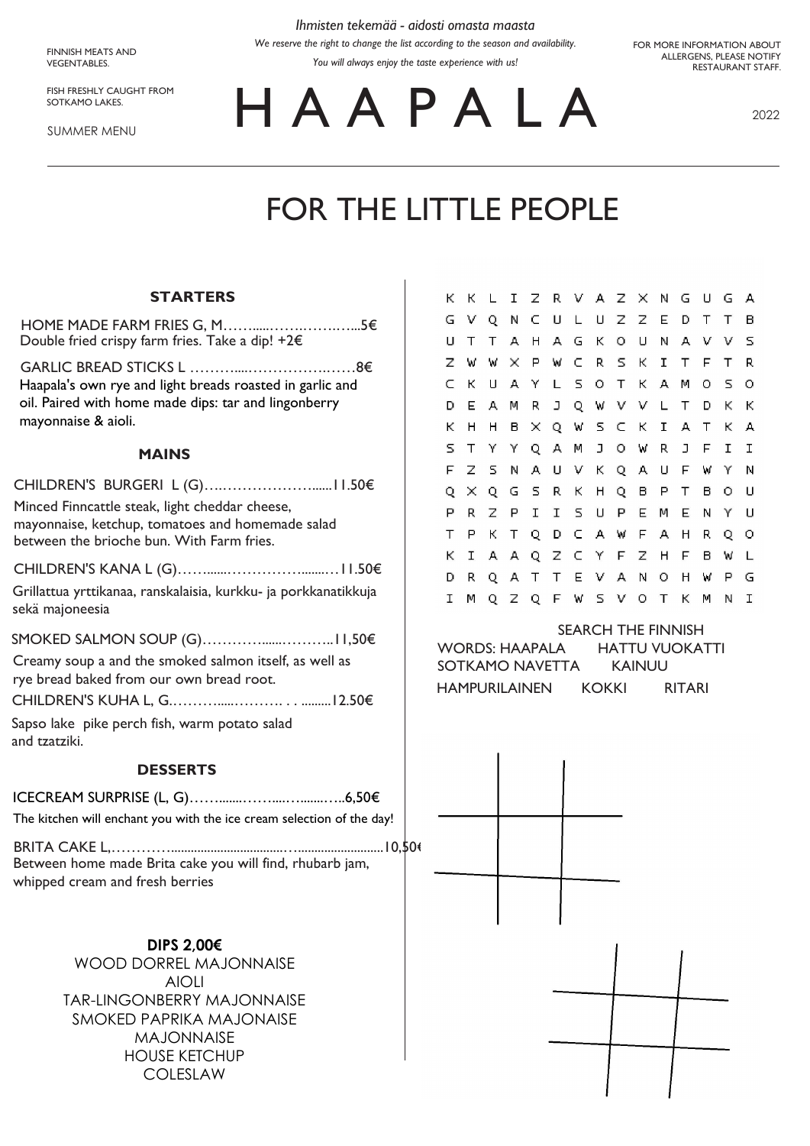**FINNISH MEATS AND** VEGENTABLES.

FISH FRESHLY CAUGHT FROM SOTKAMO LAKES.

**SUMMER MENU** 

Ihmisten tekemää - aidosti omasta maasta We reserve the right to change the list according to the season and availability.

You will always enjoy the taste experience with us!

FOR MORE INFORMATION ABOUT ALLERGENS, PLEASE NOTIFY RESTAURANT STAFF.

HAAPALA

2022

## FOR THE LITTLE PEOPLE

## **STARTERS**

| <b>DESSERTS</b>                                                                                                                                 |
|-------------------------------------------------------------------------------------------------------------------------------------------------|
| Sapso lake pike perch fish, warm potato salad<br>and tzatziki.                                                                                  |
|                                                                                                                                                 |
| Creamy soup a and the smoked salmon itself, as well as<br>rye bread baked from our own bread root.                                              |
|                                                                                                                                                 |
| Grillattua yrttikanaa, ranskalaisia, kurkku- ja porkkanatikkuja<br>sekä majoneesia                                                              |
|                                                                                                                                                 |
| Minced Finncattle steak, light cheddar cheese,<br>mayonnaise, ketchup, tomatoes and homemade salad<br>between the brioche bun. With Farm fries. |
| <b>MAINS</b>                                                                                                                                    |
| Haapala's own rye and light breads roasted in garlic and<br>oil. Paired with home made dips: tar and lingonberry<br>mayonnaise & aioli.         |
| HOME MADE FARM FRIES G, M<br>……………5€<br>Double fried crispy farm fries. Take a dip! $+2 \epsilon$                                               |

| The kitchen will enchant you with the ice cream selection of the day! |  |
|-----------------------------------------------------------------------|--|
|                                                                       |  |
| Between home made Brita cake you will find, rhubarb jam,              |  |
| whipped cream and fresh berries                                       |  |

DIPS 2,00€ WOOD DORREL MAJONNAISE **AIOLI** TAR-LINGONBERRY MAJONNAISE SMOKED PAPRIKA MAJONAISE **MAJONNAISE HOUSE KETCHUP** COLESLAW

| К  | к        | L. | I.           |     | Z R V A Z X N |       |        |              |     |              | GU |     | G | А  |
|----|----------|----|--------------|-----|---------------|-------|--------|--------------|-----|--------------|----|-----|---|----|
| G  | v        | Q  | N            |     | C U L U Z Z E |       |        |              |     |              | D  | Τ   | т | в  |
| U  | Т        | т  | А            | H   |               |       | AGK    | $\circ$      | U   | Ν            | А. | - V | v | 5  |
| Z  | W        | W  | ×            |     | P W C R       |       |        | S.           | к   | I.           | T. | F.  | т | R  |
| c  | К        | U  | А            | Y   | L             | - 5 - | О.     | T.           | K.  | А.           | M  | О   | s | О  |
| D  | E.       | A. | Μ            | R.  |               |       |        |              |     | J Q W V V L  | T. | D   | ĸ | К  |
| К  | н        | н  | в.           |     | X Q W S C K   |       |        |              |     | $\mathbf{I}$ | A. | T   | ĸ | А  |
| 5  | Τ        | Υ  | Y.           |     | QA            | w     | $\Box$ |              | O W | R.           | J  | F.  | I | I. |
| F  | z        | s  | Ν            | А   |               |       | UVK    |              | QA  | U            | F. | w   | Υ | Ν  |
| O. | $\times$ | O. | G            | - 5 | R.            | к     | H      | $\circ$      | В   | Р            | т  | в   | о | U  |
| Р  | R        | z  | Р            | I   | I             | 5.    | -U     | Р.           | E.  | м            | E. | Ν   | Υ | U  |
| Τ  | Р        | К  | Τ            | Q   | D.            |       |        | CAWF.        |     | А.           | н  | R.  | Q | о  |
| К  | I.       | A  | А            |     | Q Z C Y       |       |        |              | F Z | H            | F  | в   | W | L  |
| D  | R.       | Q  | $\mathsf{A}$ | T.  | T             |       | E V    | $\mathsf{A}$ | Ν   | О            | H  | W   | Р | G  |
| I  | M        | 0  | z            | Q   |               | F W S |        | $\vee$       | O   | Τ            | К  | M   | Ν | I  |

|                 | <b>SEARCH THE FINNISH</b> |                |  |  |  |  |  |  |
|-----------------|---------------------------|----------------|--|--|--|--|--|--|
| WORDS: HAAPALA  |                           | HATTU VUOKATTI |  |  |  |  |  |  |
| SOTKAMO NAVETTA | KAINUU                    |                |  |  |  |  |  |  |
| HAMPURILAINEN   | KOKKI                     | RITARI         |  |  |  |  |  |  |